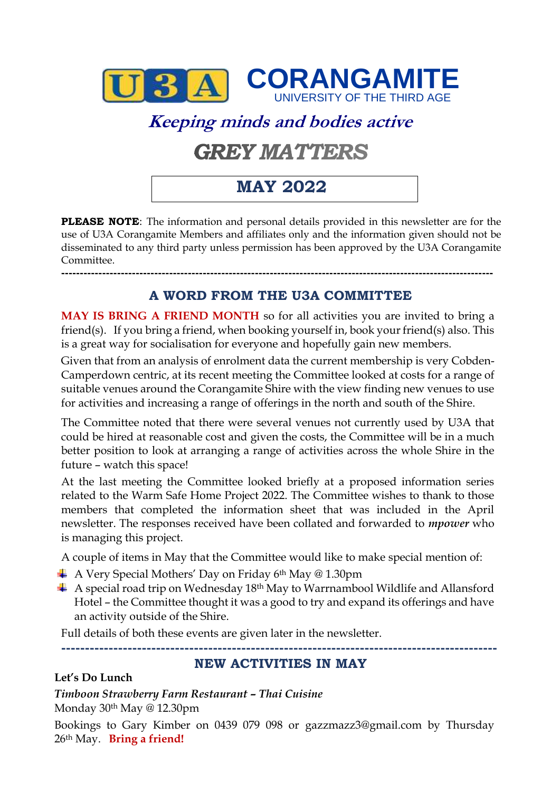

# **Keeping minds and bodies active**

# **GREY MATTERS**

# **MAY 2022**

**PLEASE NOTE**: The information and personal details provided in this newsletter are for the use of U3A Corangamite Members and affiliates only and the information given should not be disseminated to any third party unless permission has been approved by the U3A Corangamite Committee.

**A WORD FROM THE U3A COMMITTEE**

**--------------------------------------------------------------------------------------------------------------------**

**MAY IS BRING A FRIEND MONTH** so for all activities you are invited to bring a friend(s). If you bring a friend, when booking yourself in, book your friend(s) also. This is a great way for socialisation for everyone and hopefully gain new members.

Given that from an analysis of enrolment data the current membership is very Cobden-Camperdown centric, at its recent meeting the Committee looked at costs for a range of suitable venues around the Corangamite Shire with the view finding new venues to use for activities and increasing a range of offerings in the north and south of the Shire.

The Committee noted that there were several venues not currently used by U3A that could be hired at reasonable cost and given the costs, the Committee will be in a much better position to look at arranging a range of activities across the whole Shire in the future – watch this space!

At the last meeting the Committee looked briefly at a proposed information series related to the Warm Safe Home Project 2022. The Committee wishes to thank to those members that completed the information sheet that was included in the April newsletter. The responses received have been collated and forwarded to *mpower* who is managing this project.

A couple of items in May that the Committee would like to make special mention of:

- $\overline{A}$  A Very Special Mothers' Day on Friday 6<sup>th</sup> May @ 1.30pm
- $\overline{+}$  A special road trip on Wednesday 18<sup>th</sup> May to Warrnambool Wildlife and Allansford Hotel – the Committee thought it was a good to try and expand its offerings and have an activity outside of the Shire.

Full details of both these events are given later in the newsletter.

**--------------------------------------------------------------------------------------------**

#### **NEW ACTIVITIES IN MAY**

#### **Let's Do Lunch**

*Timboon Strawberry Farm Restaurant – Thai Cuisine*  Monday 30th May @ 12.30pm

Bookings to Gary Kimber on 0439 079 098 or [gazzmazz3@gmail.com](mailto:gazzmazz3@gmail.com) by Thursday 26th May. **Bring a friend!**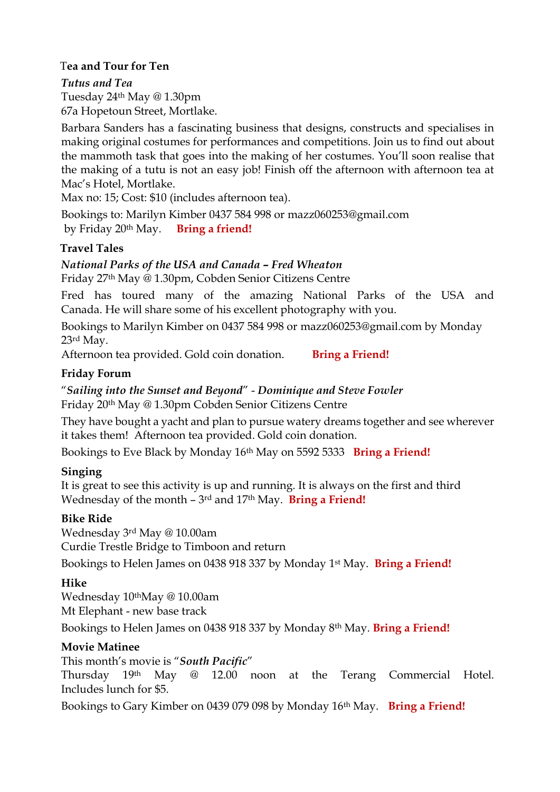#### T**ea and Tour for Ten**

*Tutus and Tea* Tuesday 24th May @ 1.30pm 67a Hopetoun Street, Mortlake.

Barbara Sanders has a fascinating business that designs, constructs and specialises in making original costumes for performances and competitions. Join us to find out about the mammoth task that goes into the making of her costumes. You'll soon realise that the making of a tutu is not an easy job! Finish off the afternoon with afternoon tea at Mac's Hotel, Mortlake.

Max no: 15; Cost: \$10 (includes afternoon tea).

Bookings to: Marilyn Kimber 0437 584 998 or [mazz060253@gmail.com](mailto:mazz060253@gmail.com) by Friday 20th May. **Bring a friend!**

#### **Travel Tales**

#### *National Parks of the USA and Canada – Fred Wheaton*

Friday 27th May @ 1.30pm, Cobden Senior Citizens Centre

Fred has toured many of the amazing National Parks of the USA and Canada. He will share some of his excellent photography with you.

Bookings to Marilyn Kimber on 0437 584 998 or [mazz060253@gmail.com](mailto:mazz060253@gmail.com) by Monday 23rd May.

Afternoon tea provided. Gold coin donation. **Bring a Friend!** 

#### **Friday Forum**

"*Sailing into the Sunset and Beyond*" - *Dominique and Steve Fowler* Friday 20th May @ 1.30pm Cobden Senior Citizens Centre

They have bought a yacht and plan to pursue watery dreams together and see wherever it takes them! Afternoon tea provided. Gold coin donation.

Bookings to Eve Black by Monday 16th May on 5592 5333 **Bring a Friend!**

#### **Singing**

It is great to see this activity is up and running. It is always on the first and third Wednesday of the month – 3rd and 17th May. **Bring a Friend!**

#### **Bike Ride**

Wednesday 3rd May @ 10.00am Curdie Trestle Bridge to Timboon and return

Bookings to Helen James on 0438 918 337 by Monday 1st May. **Bring a Friend!**

#### **Hike**

Wednesday 10thMay @ 10.00am Mt Elephant - new base track

Bookings to Helen James on 0438 918 337 by Monday 8th May. **Bring a Friend!**

#### **Movie Matinee**

This month's movie is "*South Pacific*"

Thursday 19th May @ 12.00 noon at the Terang Commercial Hotel. Includes lunch for \$5.

Bookings to Gary Kimber on 0439 079 098 by Monday 16th May. **Bring a Friend!**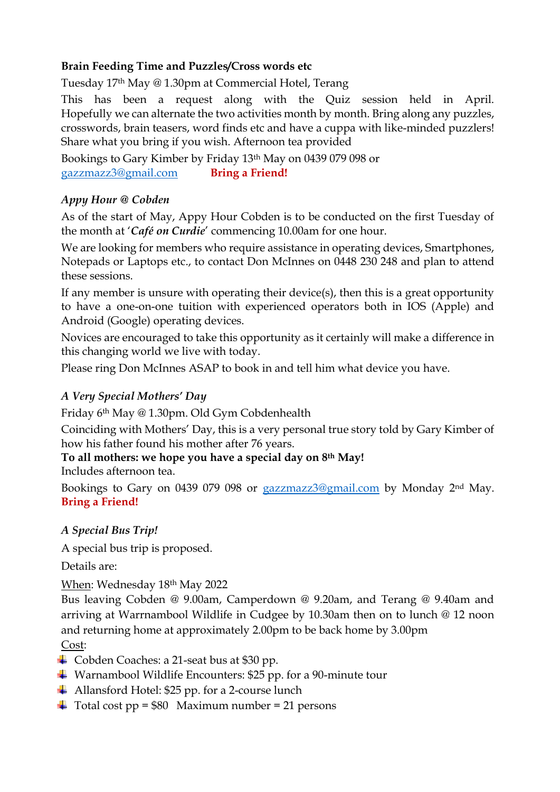#### **Brain Feeding Time and Puzzles/Cross words etc**

Tuesday 17th May @ 1.30pm at Commercial Hotel, Terang

This has been a request along with the Quiz session held in April. Hopefully we can alternate the two activities month by month. Bring along any puzzles, crosswords, brain teasers, word finds etc and have a cuppa with like-minded puzzlers! Share what you bring if you wish. Afternoon tea provided

Bookings to Gary Kimber by Friday 13th May on 0439 079 098 or [gazzmazz3@gmail.com](mailto:gazzmazz3@gmail.com) **Bring a Friend!**

#### *Appy Hour @ Cobden*

As of the start of May, Appy Hour Cobden is to be conducted on the first Tuesday of the month at '*Café on Curdie*' commencing 10.00am for one hour.

We are looking for members who require assistance in operating devices, Smartphones, Notepads or Laptops etc., to contact Don McInnes on 0448 230 248 and plan to attend these sessions.

If any member is unsure with operating their device(s), then this is a great opportunity to have a one-on-one tuition with experienced operators both in IOS (Apple) and Android (Google) operating devices.

Novices are encouraged to take this opportunity as it certainly will make a difference in this changing world we live with today.

Please ring Don McInnes ASAP to book in and tell him what device you have.

#### *A Very Special Mothers' Day*

Friday 6th May @ 1.30pm. Old Gym Cobdenhealth

Coinciding with Mothers' Day, this is a very personal true story told by Gary Kimber of how his father found his mother after 76 years.

#### **To all mothers: we hope you have a special day on 8th May!**

Includes afternoon tea.

Bookings to Gary on 0439 079 098 or [gazzmazz3@gmail.com](mailto:gazzmazz3@gmail.com) by Monday 2nd May. **Bring a Friend!**

#### *A Special Bus Trip!*

A special bus trip is proposed.

Details are:

When: Wednesday 18th May 2022

Bus leaving Cobden @ 9.00am, Camperdown @ 9.20am, and Terang @ 9.40am and arriving at Warrnambool Wildlife in Cudgee by 10.30am then on to lunch @ 12 noon and returning home at approximately 2.00pm to be back home by 3.00pm

Cost:

- Cobden Coaches: a 21-seat bus at \$30 pp.
- Warnambool Wildlife Encounters: \$25 pp. for a 90-minute tour
- Allansford Hotel: \$25 pp. for a 2-course lunch
- $\ddot{\bullet}$  Total cost pp = \$80 Maximum number = 21 persons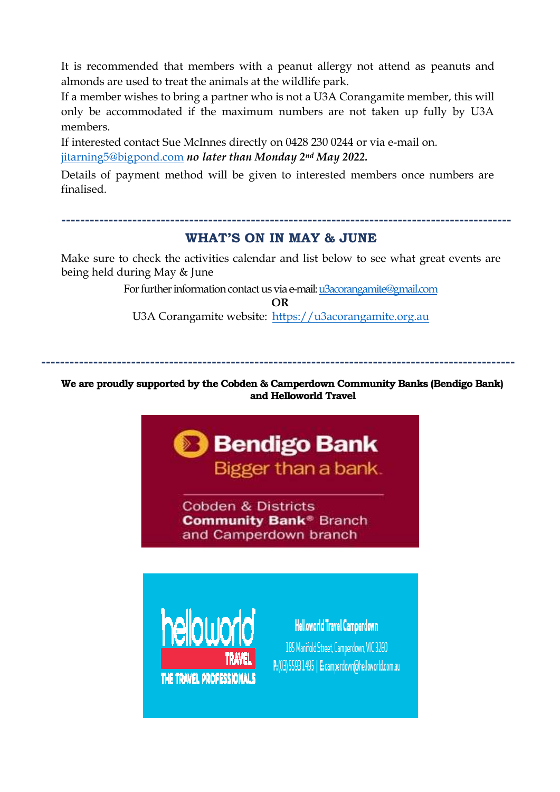It is recommended that members with a peanut allergy not attend as peanuts and almonds are used to treat the animals at the wildlife park.

If a member wishes to bring a partner who is not a U3A Corangamite member, this will only be accommodated if the maximum numbers are not taken up fully by U3A members.

If interested contact Sue McInnes directly on 0428 230 0244 or via e-mail on. [jitarning5@bigpond.com](mailto:jitarning5@bigpond.com) *no later than Monday 2nd May 2022.*

Details of payment method will be given to interested members once numbers are finalised.

#### **WHAT'S ON IN MAY & JUNE**

**-----------------------------------------------------------------------------------------------**

Make sure to check the activities calendar and list below to see what great events are being held during May & June

> For further information contact us via e-mail[: u3acorangamite@gmail.com](mailto:u3acorangamite@gmail.com) **OR**

U3A Corangamite website: [https://u3acorangamite.org.au](https://u3acorangamite.org.au/)

**----------------------------------------------------------------------------------------------------**

#### **We are proudly supported by the Cobden & Camperdown Community Banks (Bendigo Bank) and Helloworld Travel**





**Helloworld Travel Camperdown** 185 Manifold Street, Camperdown, VIC 3260 P: (03) 5593 1495 | E: camperdown@helloworld.com.au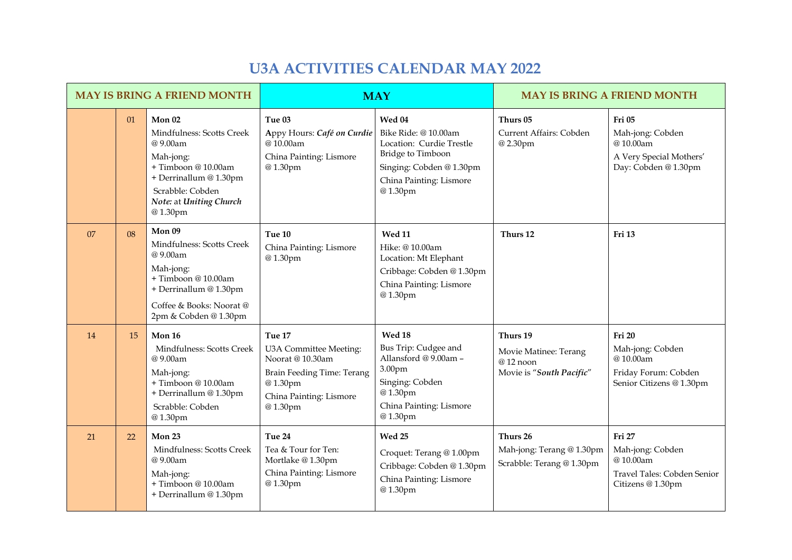### **U3A ACTIVITIES CALENDAR MAY 2022**

| <b>MAY IS BRING A FRIEND MONTH</b> |    |                                                                                                                                                                                 |                                                                                                                                     | <b>MAY</b>                                                                                                                                             | <b>MAY IS BRING A FRIEND MONTH</b>                                        |                                                                                                   |  |
|------------------------------------|----|---------------------------------------------------------------------------------------------------------------------------------------------------------------------------------|-------------------------------------------------------------------------------------------------------------------------------------|--------------------------------------------------------------------------------------------------------------------------------------------------------|---------------------------------------------------------------------------|---------------------------------------------------------------------------------------------------|--|
|                                    | 01 | Mon <sub>02</sub><br>Mindfulness: Scotts Creek<br>@9.00am<br>Mah-jong:<br>+Timboon @10.00am<br>+ Derrinallum @ 1.30pm<br>Scrabble: Cobden<br>Note: at Uniting Church<br>@1.30pm | Tue 03<br>Appy Hours: Café on Curdie<br>@10.00am<br>China Painting: Lismore<br>@1.30pm                                              | Wed 04<br>Bike Ride: @10.00am<br>Location: Curdie Trestle<br><b>Bridge to Timboon</b><br>Singing: Cobden @1.30pm<br>China Painting: Lismore<br>@1.30pm | Thurs 05<br>Current Affairs: Cobden<br>@2.30pm                            | Fri 05<br>Mah-jong: Cobden<br>@10.00am<br>A Very Special Mothers'<br>Day: Cobden @ 1.30pm         |  |
| 07                                 | 08 | Mon 09<br>Mindfulness: Scotts Creek<br>@9.00am<br>Mah-jong:<br>+Timboon@10.00am<br>+ Derrinallum @ 1.30pm<br>Coffee & Books: Noorat@<br>2pm & Cobden @ 1.30pm                   | Tue 10<br>China Painting: Lismore<br>@1.30pm                                                                                        | <b>Wed 11</b><br>Hike: @ 10.00am<br>Location: Mt Elephant<br>Cribbage: Cobden @ 1.30pm<br>China Painting: Lismore<br>@1.30pm                           | Thurs 12                                                                  | Fri 13                                                                                            |  |
| 14                                 | 15 | Mon 16<br>Mindfulness: Scotts Creek<br>@9.00am<br>Mah-jong:<br>+Timboon @10.00am<br>+ Derrinallum @ 1.30pm<br>Scrabble: Cobden<br>@1.30pm                                       | Tue 17<br>U3A Committee Meeting:<br>Noorat @ 10.30am<br>Brain Feeding Time: Terang<br>@1.30pm<br>China Painting: Lismore<br>@1.30pm | Wed 18<br>Bus Trip: Cudgee and<br>Allansford @ 9.00am -<br>3.00pm<br>Singing: Cobden<br>@1.30pm<br>China Painting: Lismore<br>@1.30pm                  | Thurs 19<br>Movie Matinee: Terang<br>@12 noon<br>Movie is "South Pacific" | <b>Fri 20</b><br>Mah-jong: Cobden<br>@10.00am<br>Friday Forum: Cobden<br>Senior Citizens @ 1.30pm |  |
| 21                                 | 22 | Mon $23$<br>Mindfulness: Scotts Creek<br>@9.00am<br>Mah-jong:<br>+Timboon@10.00am<br>+ Derrinallum @ 1.30pm                                                                     | Tue 24<br>Tea & Tour for Ten:<br>Mortlake @1.30pm<br>China Painting: Lismore<br>@1.30pm                                             | Wed 25<br>Croquet: Terang @ 1.00pm<br>Cribbage: Cobden @ 1.30pm<br>China Painting: Lismore<br>@1.30pm                                                  | Thurs 26<br>Mah-jong: Terang @1.30pm<br>Scrabble: Terang @ 1.30pm         | Fri 27<br>Mah-jong: Cobden<br>@10.00am<br>Travel Tales: Cobden Senior<br>Citizens @ 1.30pm        |  |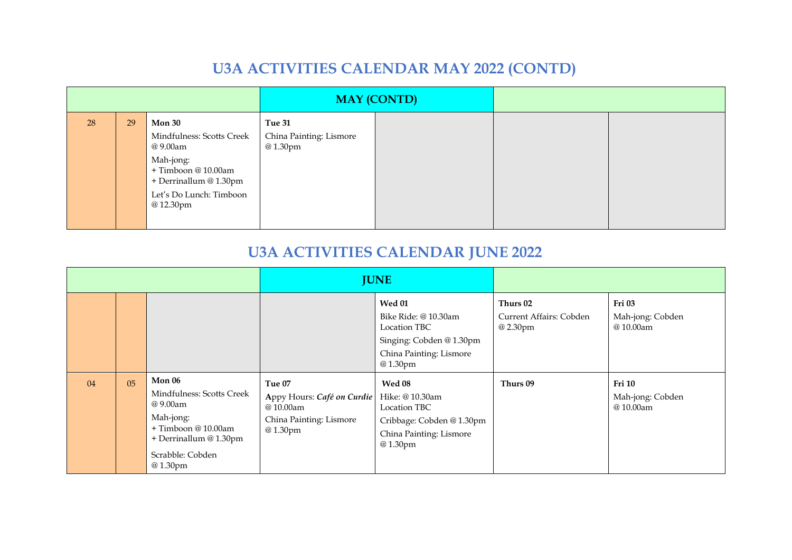## **U3A ACTIVITIES CALENDAR MAY 2022 (CONTD)**

|    |    |                                                                                                                                                              | <b>MAY (CONTD)</b>                           |  |  |
|----|----|--------------------------------------------------------------------------------------------------------------------------------------------------------------|----------------------------------------------|--|--|
| 28 | 29 | <b>Mon 30</b><br>Mindfulness: Scotts Creek<br>@ 9.00am<br>Mah-jong:<br>+ Timboon @ 10.00am<br>+ Derrinallum @ 1.30pm<br>Let's Do Lunch: Timboon<br>@ 12.30pm | Tue 31<br>China Painting: Lismore<br>@1.30pm |  |  |

# **U3A ACTIVITIES CALENDAR JUNE 2022**

|    |    |                                                                                                                                                | <b>JUNE</b>                                                                            |                                                                                                                         |                                                 |                                               |
|----|----|------------------------------------------------------------------------------------------------------------------------------------------------|----------------------------------------------------------------------------------------|-------------------------------------------------------------------------------------------------------------------------|-------------------------------------------------|-----------------------------------------------|
|    |    |                                                                                                                                                |                                                                                        | <b>Wed 01</b><br>Bike Ride: @ 10.30am<br>Location TBC<br>Singing: Cobden @ 1.30pm<br>China Painting: Lismore<br>@1.30pm | Thurs 02<br>Current Affairs: Cobden<br>@ 2.30pm | Fri 03<br>Mah-jong: Cobden<br>@10.00am        |
| 04 | 05 | Mon 06<br>Mindfulness: Scotts Creek<br>@ 9.00am<br>Mah-jong:<br>$+$ Timboon @ 10.00am<br>+ Derrinallum @ 1.30pm<br>Scrabble: Cobden<br>@1.30pm | Tue 07<br>Appy Hours: Café on Curdie<br>@10.00am<br>China Painting: Lismore<br>@1.30pm | Wed 08<br>Hike: @10.30am<br>Location TBC<br>Cribbage: Cobden @ 1.30pm<br>China Painting: Lismore<br>@1.30pm             | Thurs 09                                        | <b>Fri 10</b><br>Mah-jong: Cobden<br>@10.00am |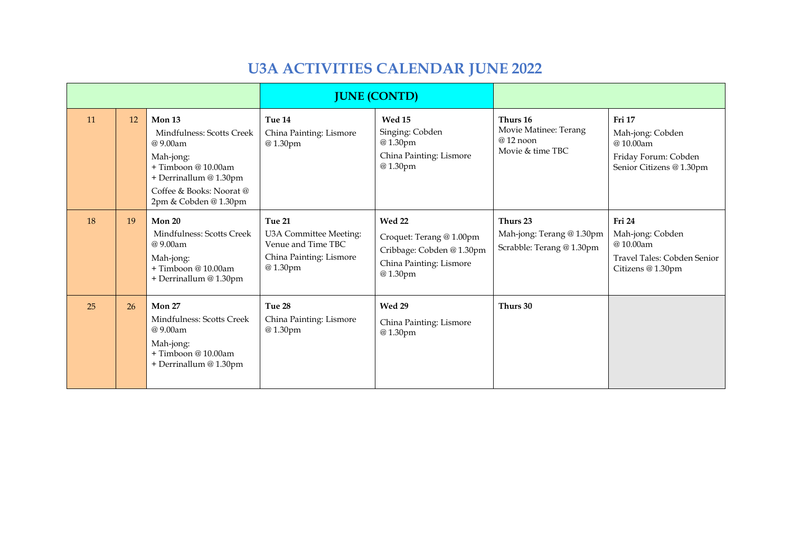# **U3A ACTIVITIES CALENDAR JUNE 2022**

|    |    |                                                                                                                                                                  |                                                                                              | <b>JUNE (CONTD)</b>                                                                                          |                                                                     |                                                                                            |
|----|----|------------------------------------------------------------------------------------------------------------------------------------------------------------------|----------------------------------------------------------------------------------------------|--------------------------------------------------------------------------------------------------------------|---------------------------------------------------------------------|--------------------------------------------------------------------------------------------|
| 11 | 12 | Mon 13<br>Mindfulness: Scotts Creek<br>@9.00am<br>Mah-jong:<br>+ Timboon @ 10.00am<br>+ Derrinallum @ 1.30pm<br>Coffee & Books: Noorat@<br>2pm & Cobden @ 1.30pm | Tue 14<br>China Painting: Lismore<br>@1.30pm                                                 | Wed 15<br>Singing: Cobden<br>@1.30pm<br>China Painting: Lismore<br>@1.30pm                                   | Thurs 16<br>Movie Matinee: Terang<br>$@12$ noon<br>Movie & time TBC | Fri 17<br>Mah-jong: Cobden<br>@10.00am<br>Friday Forum: Cobden<br>Senior Citizens @ 1.30pm |
| 18 | 19 | Mon $20$<br>Mindfulness: Scotts Creek<br>@9.00am<br>Mah-jong:<br>$+$ Timboon @ 10.00am<br>+ Derrinallum @ 1.30pm                                                 | Tue 21<br>U3A Committee Meeting:<br>Venue and Time TBC<br>China Painting: Lismore<br>@1.30pm | <b>Wed 22</b><br>Croquet: Terang @ 1.00pm<br>Cribbage: Cobden @ 1.30pm<br>China Painting: Lismore<br>@1.30pm | Thurs 23<br>Mah-jong: Terang @ 1.30pm<br>Scrabble: Terang @ 1.30pm  | Fri 24<br>Mah-jong: Cobden<br>@10.00am<br>Travel Tales: Cobden Senior<br>Citizens @ 1.30pm |
| 25 | 26 | Mon 27<br>Mindfulness: Scotts Creek<br>@9.00am<br>Mah-jong:<br>$+$ Timboon @ 10.00am<br>+ Derrinallum @ 1.30pm                                                   | Tue 28<br>China Painting: Lismore<br>@1.30pm                                                 | Wed 29<br>China Painting: Lismore<br>@1.30pm                                                                 | Thurs 30                                                            |                                                                                            |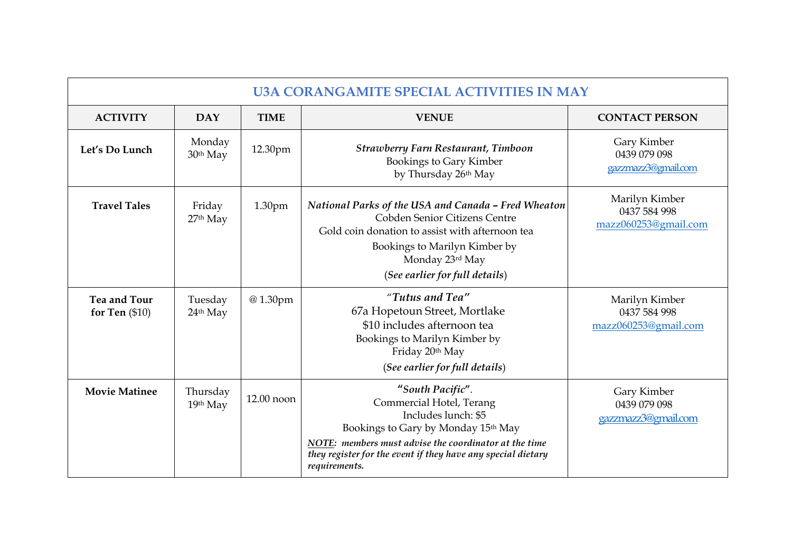| <b>U3A CORANGAMITE SPECIAL ACTIVITIES IN MAY</b> |                                |             |                                                                                                                                                                                                                                                      |                                                        |  |  |  |
|--------------------------------------------------|--------------------------------|-------------|------------------------------------------------------------------------------------------------------------------------------------------------------------------------------------------------------------------------------------------------------|--------------------------------------------------------|--|--|--|
| <b>ACTIVITY</b><br><b>DAY</b>                    |                                | <b>TIME</b> | <b>VENUE</b>                                                                                                                                                                                                                                         | <b>CONTACT PERSON</b>                                  |  |  |  |
| Let's Do Lunch                                   | Monday<br>30 <sup>th</sup> May | 12.30pm     | <b>Strawberry Farn Restaurant, Timboon</b><br>Bookings to Gary Kimber<br>by Thursday 26th May                                                                                                                                                        | Gary Kimber<br>0439 079 098<br>gazzmazz3@gmail.com     |  |  |  |
| <b>Travel Tales</b>                              | Friday<br>27th May             | 1.30pm      | National Parks of the USA and Canada - Fred Wheaton<br>Cobden Senior Citizens Centre<br>Gold coin donation to assist with afternoon tea<br>Bookings to Marilyn Kimber by<br>Monday 23rd May<br>(See earlier for full details)                        | Marilyn Kimber<br>0437 584 998<br>mazz060253@gmail.com |  |  |  |
| <b>Tea and Tour</b><br>for Ten $(\$10)$          | Tuesday<br>24th May            | @1.30pm     | "Tutus and Tea"<br>67a Hopetoun Street, Mortlake<br>\$10 includes afternoon tea<br>Bookings to Marilyn Kimber by<br>Friday 20th May<br>(See earlier for full details)                                                                                | Marilyn Kimber<br>0437 584 998<br>mazz060253@gmail.com |  |  |  |
| <b>Movie Matinee</b>                             | Thursday<br>19th May           | 12.00 noon  | "South Pacific".<br>Commercial Hotel, Terang<br>Includes lunch: \$5<br>Bookings to Gary by Monday 15th May<br>NOTE: members must advise the coordinator at the time<br>they register for the event if they have any special dietary<br>requirements. | Gary Kimber<br>0439 079 098<br>gazzmazz3@gmail.com     |  |  |  |